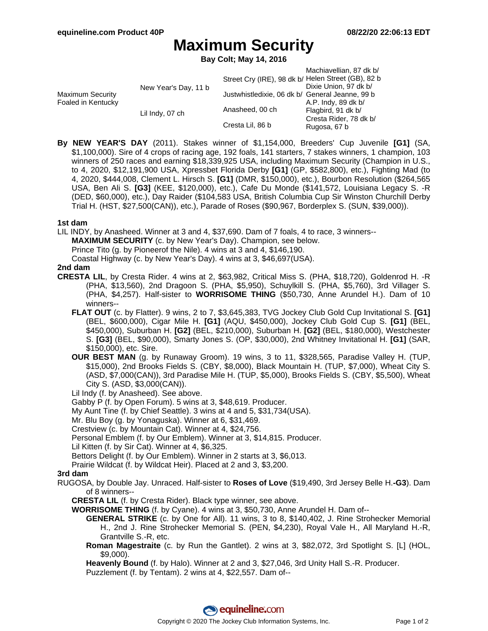# **Maximum Security**

**Bay Colt; May 14, 2016**

|                                               |                      |                                                    | Machiavellian, 87 dk b/ |
|-----------------------------------------------|----------------------|----------------------------------------------------|-------------------------|
| <b>Maximum Security</b><br>Foaled in Kentucky | New Year's Day, 11 b | Street Cry (IRE), 98 dk b/ Helen Street (GB), 82 b |                         |
|                                               |                      |                                                    | Dixie Union, 97 dk b/   |
|                                               |                      | Justwhistledixie, 06 dk b/ General Jeanne, 99 b    |                         |
|                                               | Lil Indy, 07 ch      |                                                    | A.P. Indy, 89 dk b/     |
|                                               |                      | Anasheed, 00 ch                                    | Flagbird, 91 dk b/      |
|                                               |                      |                                                    | Cresta Rider, 78 dk b/  |
|                                               |                      | Cresta Lil, 86 b                                   | Rugosa, 67 b            |

**By NEW YEAR'S DAY** (2011). Stakes winner of \$1,154,000, Breeders' Cup Juvenile **[G1]** (SA, \$1,100,000). Sire of 4 crops of racing age, 192 foals, 141 starters, 7 stakes winners, 1 champion, 103 winners of 250 races and earning \$18,339,925 USA, including Maximum Security (Champion in U.S., to 4, 2020, \$12,191,900 USA, Xpressbet Florida Derby **[G1]** (GP, \$582,800), etc.), Fighting Mad (to 4, 2020, \$444,008, Clement L. Hirsch S. **[G1]** (DMR, \$150,000), etc.), Bourbon Resolution (\$264,565 USA, Ben Ali S. **[G3]** (KEE, \$120,000), etc.), Cafe Du Monde (\$141,572, Louisiana Legacy S. -R (DED, \$60,000), etc.), Day Raider (\$104,583 USA, British Columbia Cup Sir Winston Churchill Derby Trial H. (HST, \$27,500(CAN)), etc.), Parade of Roses (\$90,967, Borderplex S. (SUN, \$39,000)).

### **1st dam**

LIL INDY, by Anasheed. Winner at 3 and 4, \$37,690. Dam of 7 foals, 4 to race, 3 winners--

**MAXIMUM SECURITY** (c. by New Year's Day). Champion, see below.

Prince Tito (g. by Pioneerof the Nile). 4 wins at 3 and 4, \$146,190.

Coastal Highway (c. by New Year's Day). 4 wins at 3, \$46,697(USA).

### **2nd dam**

- **CRESTA LIL**, by Cresta Rider. 4 wins at 2, \$63,982, Critical Miss S. (PHA, \$18,720), Goldenrod H. -R (PHA, \$13,560), 2nd Dragoon S. (PHA, \$5,950), Schuylkill S. (PHA, \$5,760), 3rd Villager S. (PHA, \$4,257). Half-sister to **WORRISOME THING** (\$50,730, Anne Arundel H.). Dam of 10 winners--
	- **FLAT OUT** (c. by Flatter). 9 wins, 2 to 7, \$3,645,383, TVG Jockey Club Gold Cup Invitational S. **[G1]** (BEL, \$600,000), Cigar Mile H. **[G1]** (AQU, \$450,000), Jockey Club Gold Cup S. **[G1]** (BEL, \$450,000), Suburban H. **[G2]** (BEL, \$210,000), Suburban H. **[G2]** (BEL, \$180,000), Westchester S. **[G3]** (BEL, \$90,000), Smarty Jones S. (OP, \$30,000), 2nd Whitney Invitational H. **[G1]** (SAR, \$150,000), etc. Sire.
	- **OUR BEST MAN** (g. by Runaway Groom). 19 wins, 3 to 11, \$328,565, Paradise Valley H. (TUP, \$15,000), 2nd Brooks Fields S. (CBY, \$8,000), Black Mountain H. (TUP, \$7,000), Wheat City S. (ASD, \$7,000(CAN)), 3rd Paradise Mile H. (TUP, \$5,000), Brooks Fields S. (CBY, \$5,500), Wheat City S. (ASD, \$3,000(CAN)).

Lil Indy (f. by Anasheed). See above.

Gabby P (f. by Open Forum). 5 wins at 3, \$48,619. Producer.

My Aunt Tine (f. by Chief Seattle). 3 wins at 4 and 5, \$31,734(USA).

Mr. Blu Boy (g. by Yonaguska). Winner at 6, \$31,469.

Crestview (c. by Mountain Cat). Winner at 4, \$24,756.

Personal Emblem (f. by Our Emblem). Winner at 3, \$14,815. Producer.

Lil Kitten (f. by Sir Cat). Winner at 4, \$6,325.

Bettors Delight (f. by Our Emblem). Winner in 2 starts at 3, \$6,013.

Prairie Wildcat (f. by Wildcat Heir). Placed at 2 and 3, \$3,200.

### **3rd dam**

- RUGOSA, by Double Jay. Unraced. Half-sister to **Roses of Love** (\$19,490, 3rd Jersey Belle H.**-G3**). Dam of 8 winners--
	- **CRESTA LIL** (f. by Cresta Rider). Black type winner, see above.
	- **WORRISOME THING** (f. by Cyane). 4 wins at 3, \$50,730, Anne Arundel H. Dam of--
		- **GENERAL STRIKE** (c. by One for All). 11 wins, 3 to 8, \$140,402, J. Rine Strohecker Memorial H., 2nd J. Rine Strohecker Memorial S. (PEN, \$4,230), Royal Vale H., All Maryland H.-R, Grantville S.-R, etc.
		- **Roman Magestraite** (c. by Run the Gantlet). 2 wins at 3, \$82,072, 3rd Spotlight S. [L] (HOL, \$9,000).

**Heavenly Bound** (f. by Halo). Winner at 2 and 3, \$27,046, 3rd Unity Hall S.-R. Producer. Puzzlement (f. by Tentam). 2 wins at 4, \$22,557. Dam of--